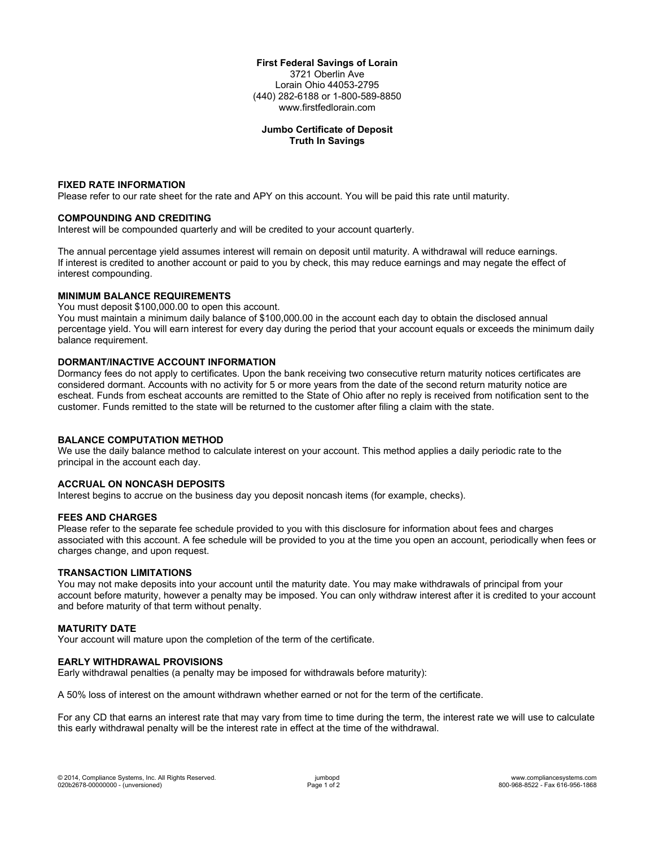### **First Federal Savings of Lorain** 3721 Oberlin Ave Lorain Ohio 44053-2795 (440) 282-6188 or 1-800-589-8850 www.firstfedlorain.com

# **Jumbo Certificate of Deposit Truth In Savings**

## **FIXED RATE INFORMATION**

Please refer to our rate sheet for the rate and APY on this account. You will be paid this rate until maturity.

## **COMPOUNDING AND CREDITING**

Interest will be compounded quarterly and will be credited to your account quarterly.

The annual percentage yield assumes interest will remain on deposit until maturity. A withdrawal will reduce earnings. If interest is credited to another account or paid to you by check, this may reduce earnings and may negate the effect of interest compounding.

## **MINIMUM BALANCE REQUIREMENTS**

You must deposit \$100,000.00 to open this account.

You must maintain a minimum daily balance of \$100,000.00 in the account each day to obtain the disclosed annual percentage yield. You will earn interest for every day during the period that your account equals or exceeds the minimum daily balance requirement.

## **DORMANT/INACTIVE ACCOUNT INFORMATION**

Dormancy fees do not apply to certificates. Upon the bank receiving two consecutive return maturity notices certificates are considered dormant. Accounts with no activity for 5 or more years from the date of the second return maturity notice are escheat. Funds from escheat accounts are remitted to the State of Ohio after no reply is received from notification sent to the customer. Funds remitted to the state will be returned to the customer after filing a claim with the state.

#### **BALANCE COMPUTATION METHOD**

We use the daily balance method to calculate interest on your account. This method applies a daily periodic rate to the principal in the account each day.

#### **ACCRUAL ON NONCASH DEPOSITS**

Interest begins to accrue on the business day you deposit noncash items (for example, checks).

#### **FEES AND CHARGES**

Please refer to the separate fee schedule provided to you with this disclosure for information about fees and charges associated with this account. A fee schedule will be provided to you at the time you open an account, periodically when fees or charges change, and upon request.

#### **TRANSACTION LIMITATIONS**

You may not make deposits into your account until the maturity date. You may make withdrawals of principal from your account before maturity, however a penalty may be imposed. You can only withdraw interest after it is credited to your account and before maturity of that term without penalty.

#### **MATURITY DATE**

Your account will mature upon the completion of the term of the certificate.

#### **EARLY WITHDRAWAL PROVISIONS**

Early withdrawal penalties (a penalty may be imposed for withdrawals before maturity):

A 50% loss of interest on the amount withdrawn whether earned or not for the term of the certificate.

For any CD that earns an interest rate that may vary from time to time during the term, the interest rate we will use to calculate this early withdrawal penalty will be the interest rate in effect at the time of the withdrawal.